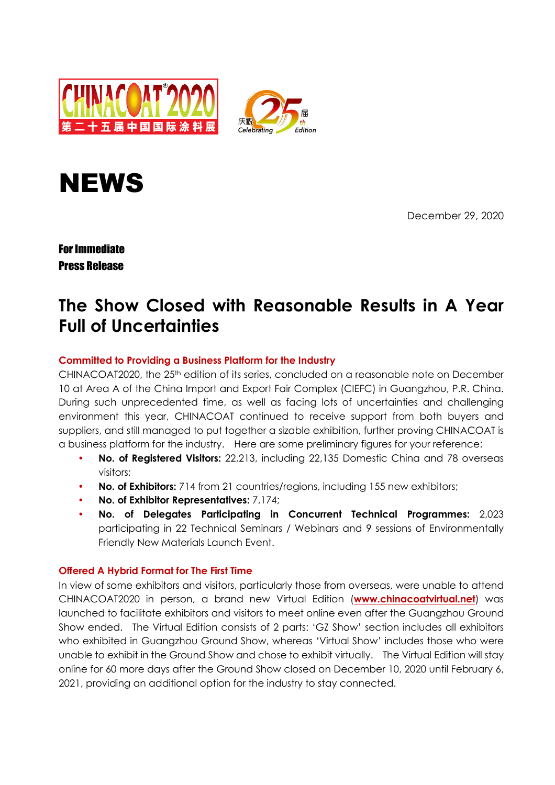





December 29, 2020

For Immediate Press Release

# **The Show Closed with Reasonable Results in A Year Full of Uncertainties**

# **Committed to Providing a Business Platform for the Industry**

CHINACOAT2020, the 25th edition of its series, concluded on a reasonable note on December 10 at Area A of the China Import and Export Fair Complex (CIEFC) in Guangzhou, P.R. China. During such unprecedented time, as well as facing lots of uncertainties and challenging environment this year, CHINACOAT continued to receive support from both buyers and suppliers, and still managed to put together a sizable exhibition, further proving CHINACOAT is a business platform for the industry. Here are some preliminary figures for your reference:

- **No. of Registered Visitors:** 22,213, including 22,135 Domestic China and 78 overseas visitors;
- **No. of Exhibitors:** 714 from 21 countries/regions, including 155 new exhibitors;
- **No. of Exhibitor Representatives:** 7,174;
- **No. of Delegates Participating in Concurrent Technical Programmes:** 2,023 participating in 22 Technical Seminars / Webinars and 9 sessions of Environmentally Friendly New Materials Launch Event.

# **Offered A Hybrid Format for The First Time**

In view of some exhibitors and visitors, particularly those from overseas, were unable to attend CHINACOAT2020 in person, a brand new Virtual Edition (**www.chinacoatvirtual.net**) was launched to facilitate exhibitors and visitors to meet online even after the Guangzhou Ground Show ended. The Virtual Edition consists of 2 parts: 'GZ Show' section includes all exhibitors who exhibited in Guangzhou Ground Show, whereas 'Virtual Show' includes those who were unable to exhibit in the Ground Show and chose to exhibit virtually. The Virtual Edition will stay online for 60 more days after the Ground Show closed on December 10, 2020 until February 6, 2021, providing an additional option for the industry to stay connected.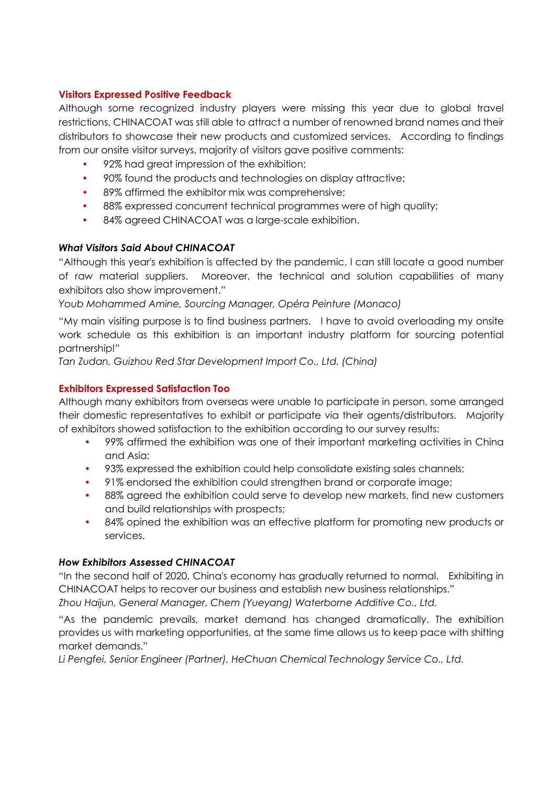# **Visitors Expressed Positive Feedback**

Although some recognized industry players were missing this year due to global travel restrictions, CHINACOAT was still able to attract a number of renowned brand names and their distributors to showcase their new products and customized services. According to findings from our onsite visitor surveys, majority of visitors gave positive comments:

- 92% had great impression of the exhibition;
- 90% found the products and technologies on display attractive;
- 89% affirmed the exhibitor mix was comprehensive;
- 88% expressed concurrent technical programmes were of high quality;
- 84% agreed CHINACOAT was a large-scale exhibition.

### *What Visitors Said About CHINACOAT*

"Although this year's exhibition is affected by the pandemic, I can still locate a good number of raw material suppliers. Moreover, the technical and solution capabilities of many exhibitors also show improvement."

*Youb Mohammed Amine, Sourcing Manager, Opéra Peinture (Monaco)* 

"My main visiting purpose is to find business partners. I have to avoid overloading my onsite work schedule as this exhibition is an important industry platform for sourcing potential partnership!"

*Tan Zudan, Guizhou Red Star Development Import Co., Ltd. (China)* 

# **Exhibitors Expressed Satisfaction Too**

Although many exhibitors from overseas were unable to participate in person, some arranged their domestic representatives to exhibit or participate via their agents/distributors. Majority of exhibitors showed satisfaction to the exhibition according to our survey results:

- 99% affirmed the exhibition was one of their important marketing activities in China and Asia;
- 93% expressed the exhibition could help consolidate existing sales channels;
- 91% endorsed the exhibition could strengthen brand or corporate image;
- 88% agreed the exhibition could serve to develop new markets, find new customers and build relationships with prospects;
- 84% opined the exhibition was an effective platform for promoting new products or services.

#### *How Exhibitors Assessed CHINACOAT*

"In the second half of 2020, China's economy has gradually returned to normal. Exhibiting in CHINACOAT helps to recover our business and establish new business relationships." *Zhou Haijun, General Manager, Chem (Yueyang) Waterborne Additive Co., Ltd.* 

"As the pandemic prevails, market demand has changed dramatically. The exhibition provides us with marketing opportunities, at the same time allows us to keep pace with shifting market demands."

*Li Pengfei, Senior Engineer (Partner), HeChuan Chemical Technology Service Co., Ltd.*